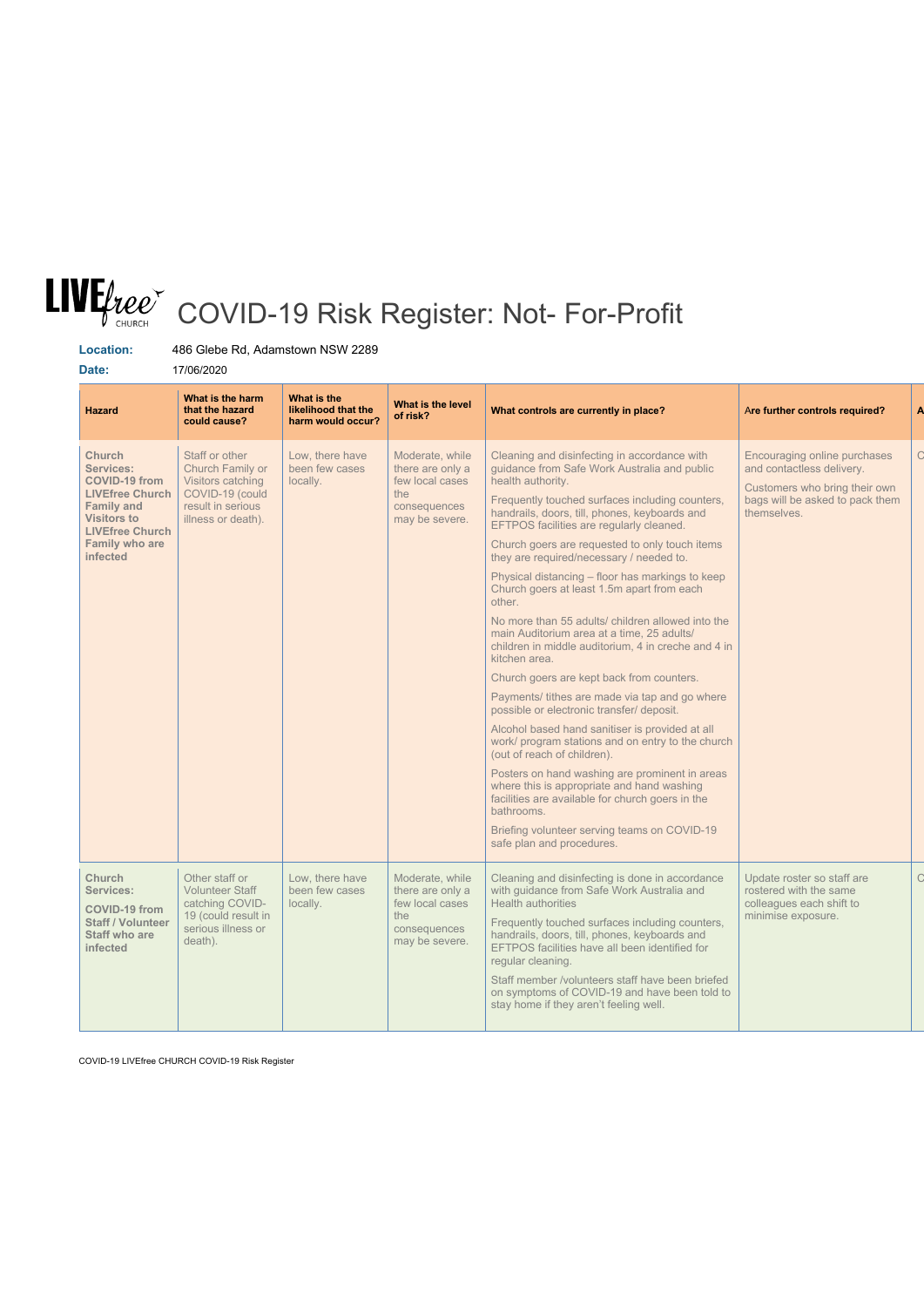## COVID-19 Risk Register: Not- For-Profit

**Location:** 486 Glebe Rd, Adamstown NSW 2289

**Date:** 17/06/2020

| <b>Hazard</b>                                                                                                                                                                                 | What is the harm<br>that the hazard<br>could cause?                                                                   | What is the<br>likelihood that the<br>harm would occur? | What is the level<br>of risk?                                                                   | What controls are currently in place?                                                                                                                                                                                                                                                                                                                                                                                                                                                                                                                                                                                                                                                                                                                                                                                                                                                                                                                                                                                                                                                                                                                                                    | Are further controls required?                                                                                                               |
|-----------------------------------------------------------------------------------------------------------------------------------------------------------------------------------------------|-----------------------------------------------------------------------------------------------------------------------|---------------------------------------------------------|-------------------------------------------------------------------------------------------------|------------------------------------------------------------------------------------------------------------------------------------------------------------------------------------------------------------------------------------------------------------------------------------------------------------------------------------------------------------------------------------------------------------------------------------------------------------------------------------------------------------------------------------------------------------------------------------------------------------------------------------------------------------------------------------------------------------------------------------------------------------------------------------------------------------------------------------------------------------------------------------------------------------------------------------------------------------------------------------------------------------------------------------------------------------------------------------------------------------------------------------------------------------------------------------------|----------------------------------------------------------------------------------------------------------------------------------------------|
| <b>Church</b><br><b>Services:</b><br><b>COVID-19 from</b><br><b>LIVEfree Church</b><br><b>Family and</b><br><b>Visitors to</b><br><b>LIVEfree Church</b><br><b>Family who are</b><br>infected | Staff or other<br>Church Family or<br>Visitors catching<br>COVID-19 (could<br>result in serious<br>illness or death). | Low, there have<br>been few cases<br>locally.           | Moderate, while<br>there are only a<br>few local cases<br>the<br>consequences<br>may be severe. | Cleaning and disinfecting in accordance with<br>guidance from Safe Work Australia and public<br>health authority.<br>Frequently touched surfaces including counters,<br>handrails, doors, till, phones, keyboards and<br>EFTPOS facilities are regularly cleaned.<br>Church goers are requested to only touch items<br>they are required/necessary / needed to.<br>Physical distancing - floor has markings to keep<br>Church goers at least 1.5m apart from each<br>other.<br>No more than 55 adults/ children allowed into the<br>main Auditorium area at a time, 25 adults/<br>children in middle auditorium, 4 in creche and 4 in<br>kitchen area.<br>Church goers are kept back from counters.<br>Payments/ tithes are made via tap and go where<br>possible or electronic transfer/ deposit.<br>Alcohol based hand sanitiser is provided at all<br>work/ program stations and on entry to the church<br>(out of reach of children).<br>Posters on hand washing are prominent in areas<br>where this is appropriate and hand washing<br>facilities are available for church goers in the<br>bathrooms.<br>Briefing volunteer serving teams on COVID-19<br>safe plan and procedures. | Encouraging online purchases<br>and contactless delivery.<br>Customers who bring their own<br>bags will be asked to pack them<br>themselves. |
| Church<br><b>Services:</b><br><b>COVID-19 from</b><br><b>Staff / Volunteer</b><br><b>Staff who are</b><br>infected                                                                            | Other staff or<br><b>Volunteer Staff</b><br>catching COVID-<br>19 (could result in<br>serious illness or<br>death).   | Low, there have<br>been few cases<br>locally.           | Moderate, while<br>there are only a<br>few local cases<br>the<br>consequences<br>may be severe. | Cleaning and disinfecting is done in accordance<br>with guidance from Safe Work Australia and<br>Health authorities<br>Frequently touched surfaces including counters,<br>handrails, doors, till, phones, keyboards and<br>EFTPOS facilities have all been identified for<br>regular cleaning.                                                                                                                                                                                                                                                                                                                                                                                                                                                                                                                                                                                                                                                                                                                                                                                                                                                                                           | Update roster so staff are<br>rostered with the same<br>colleagues each shift to<br>minimise exposure.                                       |

Staff member /volunteers staff have been briefed

| $\Box$ on symptoms of COVID-19 and have been told to $\Box$ |
|-------------------------------------------------------------|
| stay home if they aren't feeling well.                      |
|                                                             |
|                                                             |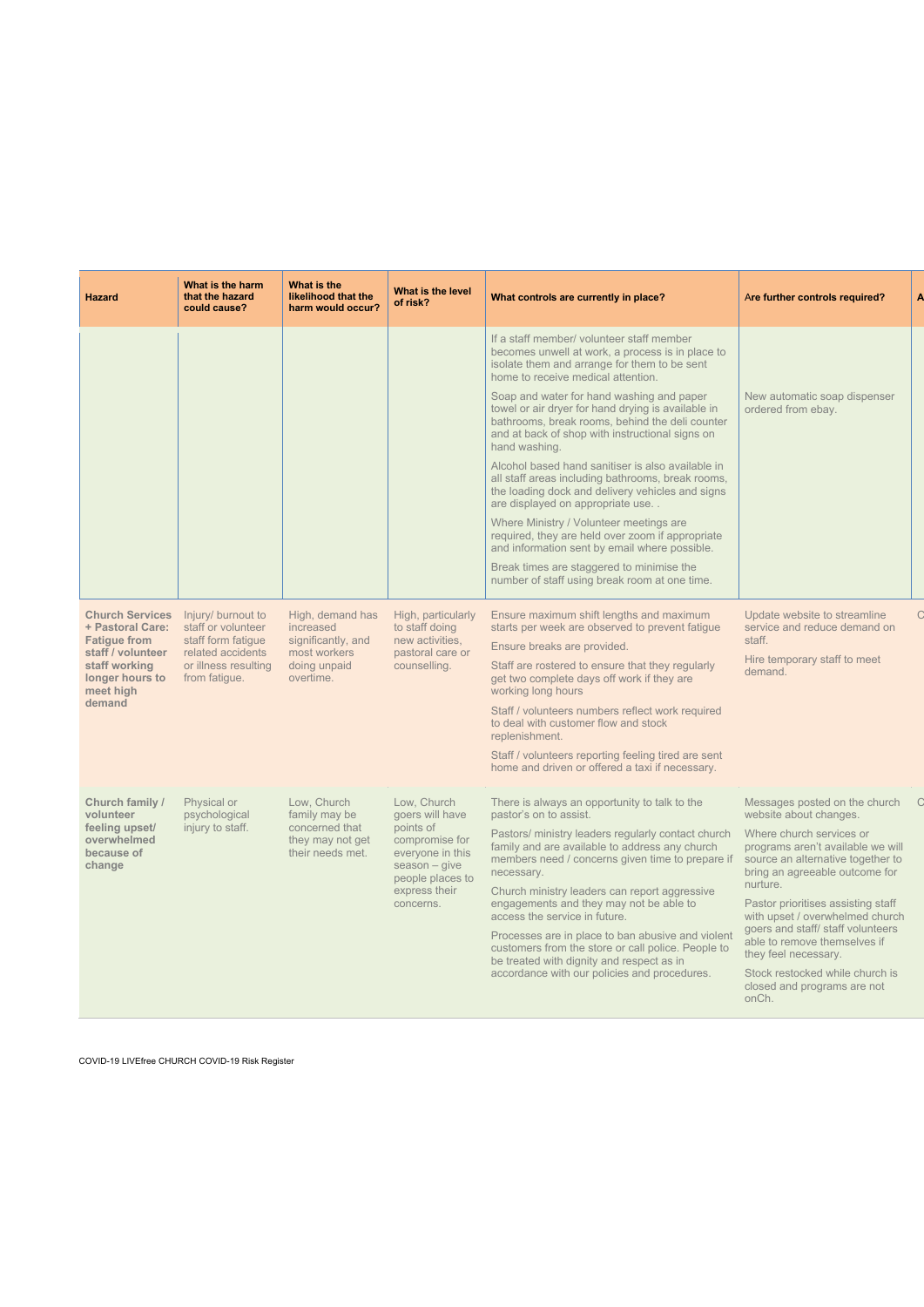| <b>Hazard</b>                                                                                                                                     | What is the harm<br>that the hazard<br>could cause?                                                                          | What is the<br>likelihood that the<br>harm would occur?                                          | What is the level<br>of risk?                                                                                                                          | What controls are currently in place?                                                                                                                                                                                                                                                                                                                                                                                                                                                                                                                                                  | Are further controls required?                                                                                                                                                                                                                                                                                                                                                                                       | A |
|---------------------------------------------------------------------------------------------------------------------------------------------------|------------------------------------------------------------------------------------------------------------------------------|--------------------------------------------------------------------------------------------------|--------------------------------------------------------------------------------------------------------------------------------------------------------|----------------------------------------------------------------------------------------------------------------------------------------------------------------------------------------------------------------------------------------------------------------------------------------------------------------------------------------------------------------------------------------------------------------------------------------------------------------------------------------------------------------------------------------------------------------------------------------|----------------------------------------------------------------------------------------------------------------------------------------------------------------------------------------------------------------------------------------------------------------------------------------------------------------------------------------------------------------------------------------------------------------------|---|
|                                                                                                                                                   |                                                                                                                              |                                                                                                  |                                                                                                                                                        | If a staff member/ volunteer staff member<br>becomes unwell at work, a process is in place to<br>isolate them and arrange for them to be sent<br>home to receive medical attention.                                                                                                                                                                                                                                                                                                                                                                                                    |                                                                                                                                                                                                                                                                                                                                                                                                                      |   |
|                                                                                                                                                   |                                                                                                                              |                                                                                                  |                                                                                                                                                        | Soap and water for hand washing and paper<br>towel or air dryer for hand drying is available in<br>bathrooms, break rooms, behind the deli counter<br>and at back of shop with instructional signs on<br>hand washing.                                                                                                                                                                                                                                                                                                                                                                 | New automatic soap dispenser<br>ordered from ebay.                                                                                                                                                                                                                                                                                                                                                                   |   |
|                                                                                                                                                   |                                                                                                                              |                                                                                                  |                                                                                                                                                        | Alcohol based hand sanitiser is also available in<br>all staff areas including bathrooms, break rooms,<br>the loading dock and delivery vehicles and signs<br>are displayed on appropriate use                                                                                                                                                                                                                                                                                                                                                                                         |                                                                                                                                                                                                                                                                                                                                                                                                                      |   |
|                                                                                                                                                   |                                                                                                                              |                                                                                                  |                                                                                                                                                        | Where Ministry / Volunteer meetings are<br>required, they are held over zoom if appropriate<br>and information sent by email where possible.                                                                                                                                                                                                                                                                                                                                                                                                                                           |                                                                                                                                                                                                                                                                                                                                                                                                                      |   |
|                                                                                                                                                   |                                                                                                                              |                                                                                                  |                                                                                                                                                        | Break times are staggered to minimise the<br>number of staff using break room at one time.                                                                                                                                                                                                                                                                                                                                                                                                                                                                                             |                                                                                                                                                                                                                                                                                                                                                                                                                      |   |
| <b>Church Services</b><br>+ Pastoral Care:<br><b>Fatigue from</b><br>staff / volunteer<br>staff working<br>longer hours to<br>meet high<br>demand | Injury/ burnout to<br>staff or volunteer<br>staff form fatigue<br>related accidents<br>or illness resulting<br>from fatigue. | High, demand has<br>increased<br>significantly, and<br>most workers<br>doing unpaid<br>overtime. | High, particularly<br>to staff doing<br>new activities,<br>pastoral care or<br>counselling.                                                            | Ensure maximum shift lengths and maximum<br>starts per week are observed to prevent fatigue<br>Ensure breaks are provided.<br>Staff are rostered to ensure that they regularly<br>get two complete days off work if they are<br>working long hours<br>Staff / volunteers numbers reflect work required<br>to deal with customer flow and stock<br>replenishment.<br>Staff / volunteers reporting feeling tired are sent<br>home and driven or offered a taxi if necessary.                                                                                                             | Update website to streamline<br>service and reduce demand on<br>staff.<br>Hire temporary staff to meet<br>demand.                                                                                                                                                                                                                                                                                                    |   |
| Church family /<br>volunteer<br>feeling upset/<br>overwhelmed<br>because of<br>change                                                             | Physical or<br>psychological<br>injury to staff.                                                                             | Low, Church<br>family may be<br>concerned that<br>they may not get<br>their needs met.           | Low, Church<br>goers will have<br>points of<br>compromise for<br>everyone in this<br>$season - give$<br>people places to<br>express their<br>concerns. | There is always an opportunity to talk to the<br>pastor's on to assist.<br>Pastors/ ministry leaders regularly contact church<br>family and are available to address any church<br>members need / concerns given time to prepare if<br>necessary.<br>Church ministry leaders can report aggressive<br>engagements and they may not be able to<br>access the service in future.<br>Processes are in place to ban abusive and violent<br>customers from the store or call police. People to<br>be treated with dignity and respect as in<br>accordance with our policies and procedures. | Messages posted on the church<br>website about changes.<br>Where church services or<br>programs aren't available we will<br>source an alternative together to<br>bring an agreeable outcome for<br>nurture.<br>Pastor prioritises assisting staff<br>with upset / overwhelmed church<br>goers and staff/ staff volunteers<br>able to remove themselves if<br>they feel necessary.<br>Stock restocked while church is |   |

closed and programs are not onCh.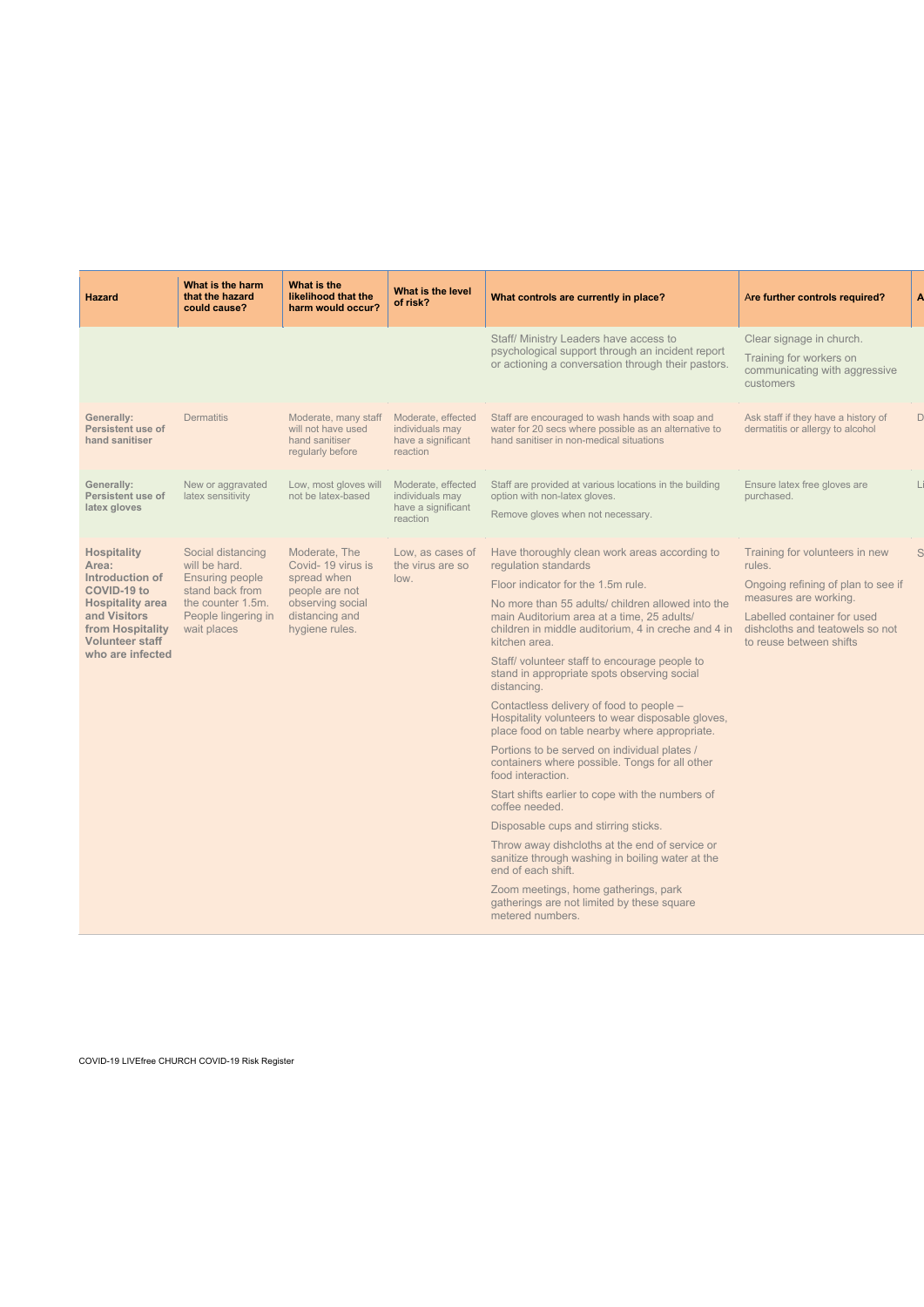| <b>Hazard</b>                                                                                                                                                                     | What is the harm<br>that the hazard<br>could cause?                                                                                        | What is the<br>likelihood that the<br>harm would occur?                                                                     | What is the level<br>of risk?                                           | What controls are currently in place?                                                                                                                                                                                                                                                                                                                                                                                                                                                                                                                                                                                                                                                                                                                                                                                                                                                                                                                                                                                              | Are further controls required?                                                                                                                                                                       |   |
|-----------------------------------------------------------------------------------------------------------------------------------------------------------------------------------|--------------------------------------------------------------------------------------------------------------------------------------------|-----------------------------------------------------------------------------------------------------------------------------|-------------------------------------------------------------------------|------------------------------------------------------------------------------------------------------------------------------------------------------------------------------------------------------------------------------------------------------------------------------------------------------------------------------------------------------------------------------------------------------------------------------------------------------------------------------------------------------------------------------------------------------------------------------------------------------------------------------------------------------------------------------------------------------------------------------------------------------------------------------------------------------------------------------------------------------------------------------------------------------------------------------------------------------------------------------------------------------------------------------------|------------------------------------------------------------------------------------------------------------------------------------------------------------------------------------------------------|---|
|                                                                                                                                                                                   |                                                                                                                                            |                                                                                                                             |                                                                         | Staff/ Ministry Leaders have access to<br>psychological support through an incident report<br>or actioning a conversation through their pastors.                                                                                                                                                                                                                                                                                                                                                                                                                                                                                                                                                                                                                                                                                                                                                                                                                                                                                   | Clear signage in church.<br>Training for workers on<br>communicating with aggressive<br>customers                                                                                                    |   |
| <b>Generally:</b><br><b>Persistent use of</b><br>hand sanitiser                                                                                                                   | <b>Dermatitis</b>                                                                                                                          | Moderate, many staff<br>will not have used<br>hand sanitiser<br>regularly before                                            | Moderate, effected<br>individuals may<br>have a significant<br>reaction | Staff are encouraged to wash hands with soap and<br>water for 20 secs where possible as an alternative to<br>hand sanitiser in non-medical situations                                                                                                                                                                                                                                                                                                                                                                                                                                                                                                                                                                                                                                                                                                                                                                                                                                                                              | Ask staff if they have a history of<br>dermatitis or allergy to alcohol                                                                                                                              | D |
| <b>Generally:</b><br><b>Persistent use of</b><br>latex gloves                                                                                                                     | New or aggravated<br>latex sensitivity                                                                                                     | Low, most gloves will<br>not be latex-based                                                                                 | Moderate, effected<br>individuals may<br>have a significant<br>reaction | Staff are provided at various locations in the building<br>option with non-latex gloves.<br>Remove gloves when not necessary.                                                                                                                                                                                                                                                                                                                                                                                                                                                                                                                                                                                                                                                                                                                                                                                                                                                                                                      | Ensure latex free gloves are<br>purchased.                                                                                                                                                           |   |
| <b>Hospitality</b><br>Area:<br>Introduction of<br><b>COVID-19 to</b><br><b>Hospitality area</b><br>and Visitors<br>from Hospitality<br><b>Volunteer staff</b><br>who are infected | Social distancing<br>will be hard.<br><b>Ensuring people</b><br>stand back from<br>the counter 1.5m.<br>People lingering in<br>wait places | Moderate, The<br>Covid-19 virus is<br>spread when<br>people are not<br>observing social<br>distancing and<br>hygiene rules. | Low, as cases of<br>the virus are so<br>low.                            | Have thoroughly clean work areas according to<br>regulation standards<br>Floor indicator for the 1.5m rule.<br>No more than 55 adults/ children allowed into the<br>main Auditorium area at a time, 25 adults/<br>children in middle auditorium, 4 in creche and 4 in<br>kitchen area.<br>Staff/ volunteer staff to encourage people to<br>stand in appropriate spots observing social<br>distancing.<br>Contactless delivery of food to people -<br>Hospitality volunteers to wear disposable gloves,<br>place food on table nearby where appropriate.<br>Portions to be served on individual plates /<br>containers where possible. Tongs for all other<br>food interaction.<br>Start shifts earlier to cope with the numbers of<br>coffee needed.<br>Disposable cups and stirring sticks.<br>Throw away dishcloths at the end of service or<br>sanitize through washing in boiling water at the<br>end of each shift.<br>Zoom meetings, home gatherings, park<br>gatherings are not limited by these square<br>metered numbers. | Training for volunteers in new<br>rules.<br>Ongoing refining of plan to see if<br>measures are working.<br>Labelled container for used<br>dishcloths and teatowels so not<br>to reuse between shifts |   |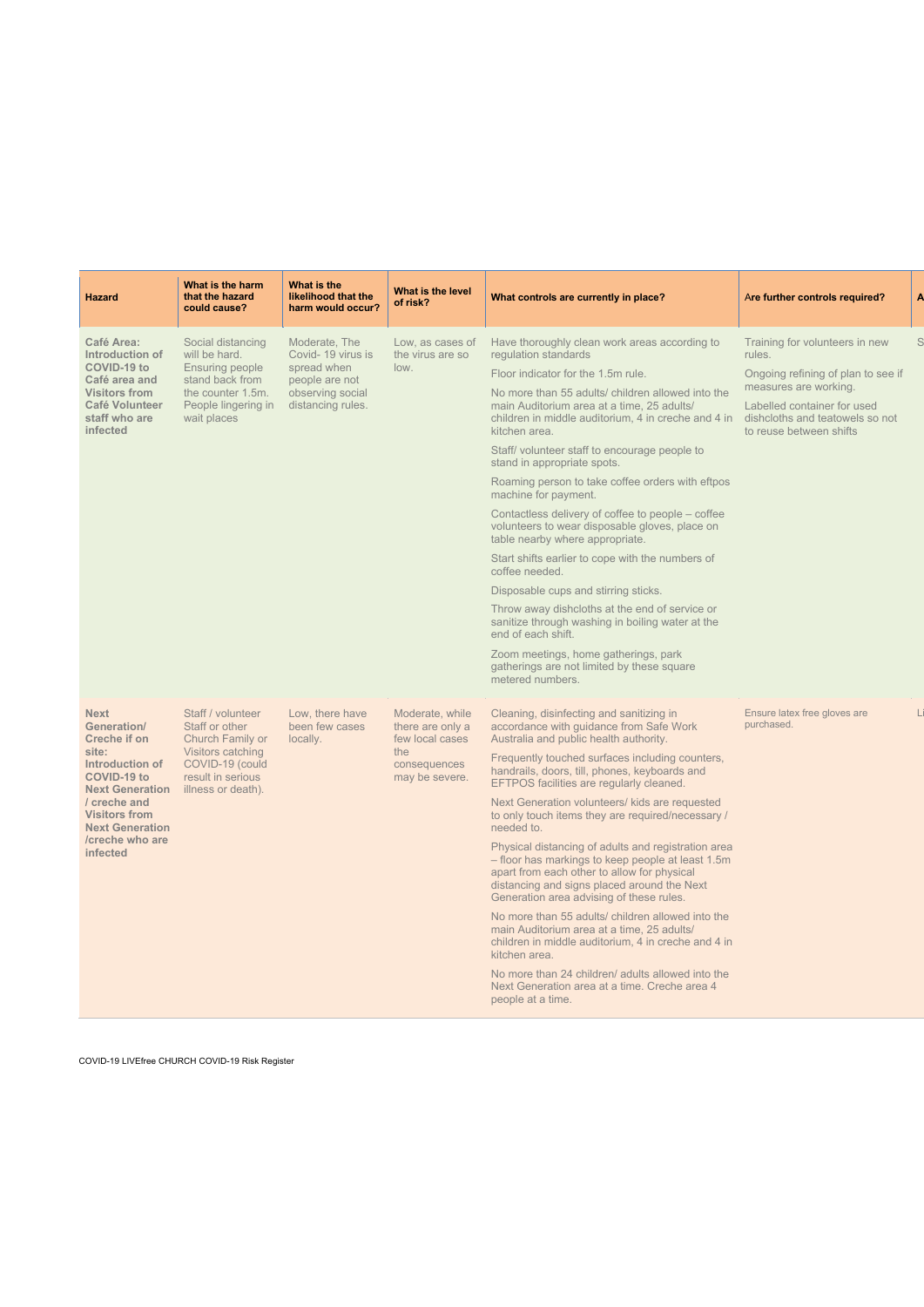| Hazard                                                                                                                                                                                                                                | What is the harm<br>that the hazard<br>could cause?                                                                                        | What is the<br>likelihood that the<br>harm would occur?                                                      | <b>What is the level</b><br>of risk?                                                            | What controls are currently in place?                                                                                                                                                                                                                                                                                                                                                                                                                                                                                                                                                                                                                                                                                                                                                                                                                                                                                                            | Are further controls required?                                                                                                                                                                       |
|---------------------------------------------------------------------------------------------------------------------------------------------------------------------------------------------------------------------------------------|--------------------------------------------------------------------------------------------------------------------------------------------|--------------------------------------------------------------------------------------------------------------|-------------------------------------------------------------------------------------------------|--------------------------------------------------------------------------------------------------------------------------------------------------------------------------------------------------------------------------------------------------------------------------------------------------------------------------------------------------------------------------------------------------------------------------------------------------------------------------------------------------------------------------------------------------------------------------------------------------------------------------------------------------------------------------------------------------------------------------------------------------------------------------------------------------------------------------------------------------------------------------------------------------------------------------------------------------|------------------------------------------------------------------------------------------------------------------------------------------------------------------------------------------------------|
| <b>Café Area:</b><br>Introduction of<br><b>COVID-19 to</b><br>Café area and<br><b>Visitors from</b><br><b>Café Volunteer</b><br>staff who are<br>infected                                                                             | Social distancing<br>will be hard.<br><b>Ensuring people</b><br>stand back from<br>the counter 1.5m.<br>People lingering in<br>wait places | Moderate, The<br>Covid-19 virus is<br>spread when<br>people are not<br>observing social<br>distancing rules. | Low, as cases of<br>the virus are so<br>low.                                                    | Have thoroughly clean work areas according to<br>regulation standards<br>Floor indicator for the 1.5m rule.<br>No more than 55 adults/ children allowed into the<br>main Auditorium area at a time, 25 adults/<br>children in middle auditorium, 4 in creche and 4 in<br>kitchen area.<br>Staff/ volunteer staff to encourage people to<br>stand in appropriate spots.<br>Roaming person to take coffee orders with eftpos<br>machine for payment.<br>Contactless delivery of coffee to people - coffee<br>volunteers to wear disposable gloves, place on<br>table nearby where appropriate.<br>Start shifts earlier to cope with the numbers of<br>coffee needed.<br>Disposable cups and stirring sticks.<br>Throw away dishcloths at the end of service or<br>sanitize through washing in boiling water at the<br>end of each shift.<br>Zoom meetings, home gatherings, park<br>gatherings are not limited by these square<br>metered numbers. | Training for volunteers in new<br>rules.<br>Ongoing refining of plan to see if<br>measures are working.<br>Labelled container for used<br>dishcloths and teatowels so not<br>to reuse between shifts |
| <b>Next</b><br><b>Generation/</b><br><b>Creche if on</b><br>site:<br>Introduction of<br><b>COVID-19 to</b><br><b>Next Generation</b><br>/ creche and<br><b>Visitors from</b><br><b>Next Generation</b><br>/creche who are<br>infected | Staff / volunteer<br>Staff or other<br>Church Family or<br>Visitors catching<br>COVID-19 (could<br>result in serious<br>illness or death). | Low, there have<br>been few cases<br>locally.                                                                | Moderate, while<br>there are only a<br>few local cases<br>the<br>consequences<br>may be severe. | Cleaning, disinfecting and sanitizing in<br>accordance with guidance from Safe Work<br>Australia and public health authority.<br>Frequently touched surfaces including counters,<br>handrails, doors, till, phones, keyboards and<br>EFTPOS facilities are regularly cleaned.<br>Next Generation volunteers/ kids are requested<br>to only touch items they are required/necessary /<br>needed to.<br>Physical distancing of adults and registration area<br>- floor has markings to keep people at least 1.5m<br>apart from each other to allow for physical<br>distancing and signs placed around the Next<br>Generation area advising of these rules.<br>No more than 55 adults/ children allowed into the<br>main Auditorium area at a time, 25 adults/<br>children in middle auditorium, 4 in creche and 4 in<br>kitchen area.<br>No more than 24 children/ adults allowed into the                                                         | Ensure latex free gloves are<br>purchased.                                                                                                                                                           |

Next Generation area at a time. Creche area 4 people at a time.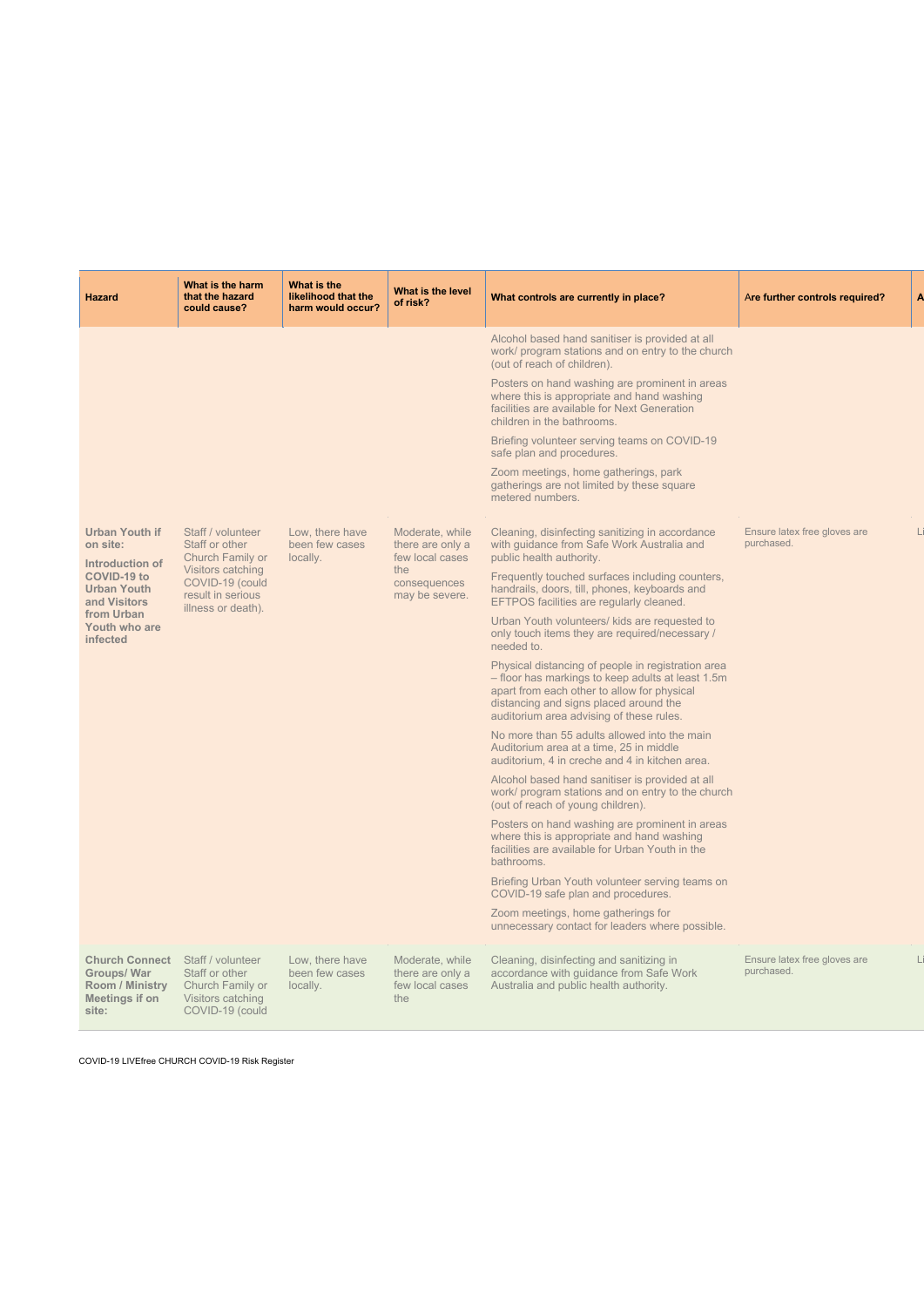| <b>Hazard</b>                                                                                                                                                      | What is the harm<br>that the hazard<br>could cause?                                                                                        | What is the<br>likelihood that the<br>harm would occur? | What is the level<br>of risk?                                                                   | What controls are currently in place?                                                                                                                                                                                                        | Are further controls required?             | $\mathbf{A}$ |
|--------------------------------------------------------------------------------------------------------------------------------------------------------------------|--------------------------------------------------------------------------------------------------------------------------------------------|---------------------------------------------------------|-------------------------------------------------------------------------------------------------|----------------------------------------------------------------------------------------------------------------------------------------------------------------------------------------------------------------------------------------------|--------------------------------------------|--------------|
|                                                                                                                                                                    |                                                                                                                                            |                                                         |                                                                                                 | Alcohol based hand sanitiser is provided at all<br>work/ program stations and on entry to the church<br>(out of reach of children).                                                                                                          |                                            |              |
|                                                                                                                                                                    |                                                                                                                                            |                                                         |                                                                                                 | Posters on hand washing are prominent in areas<br>where this is appropriate and hand washing<br>facilities are available for Next Generation<br>children in the bathrooms.                                                                   |                                            |              |
|                                                                                                                                                                    |                                                                                                                                            |                                                         |                                                                                                 | Briefing volunteer serving teams on COVID-19<br>safe plan and procedures.                                                                                                                                                                    |                                            |              |
|                                                                                                                                                                    |                                                                                                                                            |                                                         |                                                                                                 | Zoom meetings, home gatherings, park<br>gatherings are not limited by these square<br>metered numbers.                                                                                                                                       |                                            |              |
| <b>Urban Youth if</b><br>on site:<br><b>Introduction of</b><br><b>COVID-19 to</b><br><b>Urban Youth</b><br>and Visitors<br>from Urban<br>Youth who are<br>infected | Staff / volunteer<br>Staff or other<br>Church Family or<br>Visitors catching<br>COVID-19 (could<br>result in serious<br>illness or death). | Low, there have<br>been few cases<br>locally.           | Moderate, while<br>there are only a<br>few local cases<br>the<br>consequences<br>may be severe. | Cleaning, disinfecting sanitizing in accordance<br>with guidance from Safe Work Australia and<br>public health authority.                                                                                                                    | Ensure latex free gloves are<br>purchased. |              |
|                                                                                                                                                                    |                                                                                                                                            |                                                         |                                                                                                 | Frequently touched surfaces including counters,<br>handrails, doors, till, phones, keyboards and<br>EFTPOS facilities are regularly cleaned.                                                                                                 |                                            |              |
|                                                                                                                                                                    |                                                                                                                                            |                                                         |                                                                                                 | Urban Youth volunteers/ kids are requested to<br>only touch items they are required/necessary /<br>needed to.                                                                                                                                |                                            |              |
|                                                                                                                                                                    |                                                                                                                                            |                                                         |                                                                                                 | Physical distancing of people in registration area<br>- floor has markings to keep adults at least 1.5m<br>apart from each other to allow for physical<br>distancing and signs placed around the<br>auditorium area advising of these rules. |                                            |              |
|                                                                                                                                                                    |                                                                                                                                            |                                                         |                                                                                                 | No more than 55 adults allowed into the main<br>Auditorium area at a time, 25 in middle<br>auditorium, 4 in creche and 4 in kitchen area.                                                                                                    |                                            |              |
|                                                                                                                                                                    |                                                                                                                                            |                                                         |                                                                                                 | Alcohol based hand sanitiser is provided at all<br>work/ program stations and on entry to the church<br>(out of reach of young children).                                                                                                    |                                            |              |
|                                                                                                                                                                    |                                                                                                                                            |                                                         |                                                                                                 | Posters on hand washing are prominent in areas<br>where this is appropriate and hand washing<br>facilities are available for Urban Youth in the<br>bathrooms.                                                                                |                                            |              |
|                                                                                                                                                                    |                                                                                                                                            |                                                         |                                                                                                 | Briefing Urban Youth volunteer serving teams on<br>COVID-19 safe plan and procedures.                                                                                                                                                        |                                            |              |
|                                                                                                                                                                    |                                                                                                                                            |                                                         |                                                                                                 | Zoom meetings, home gatherings for<br>unnecessary contact for leaders where possible.                                                                                                                                                        |                                            |              |
| <b>Church Connect</b><br><b>Groups/War</b>                                                                                                                         | Staff / volunteer<br>Staff or other                                                                                                        | Low, there have<br>been few cases                       | Moderate, while<br>there are only a                                                             | Cleaning, disinfecting and sanitizing in<br>accordance with guidance from Safe Work                                                                                                                                                          | Ensure latex free gloves are<br>purchased. |              |

| <b>Room / Ministry</b> Church Family or |                   | locally. | few local cases | Australia and public health authority. |
|-----------------------------------------|-------------------|----------|-----------------|----------------------------------------|
| Meetings if on                          | Visitors catching |          | the             |                                        |
| site:                                   | COVID-19 (could   |          |                 |                                        |
|                                         |                   |          |                 |                                        |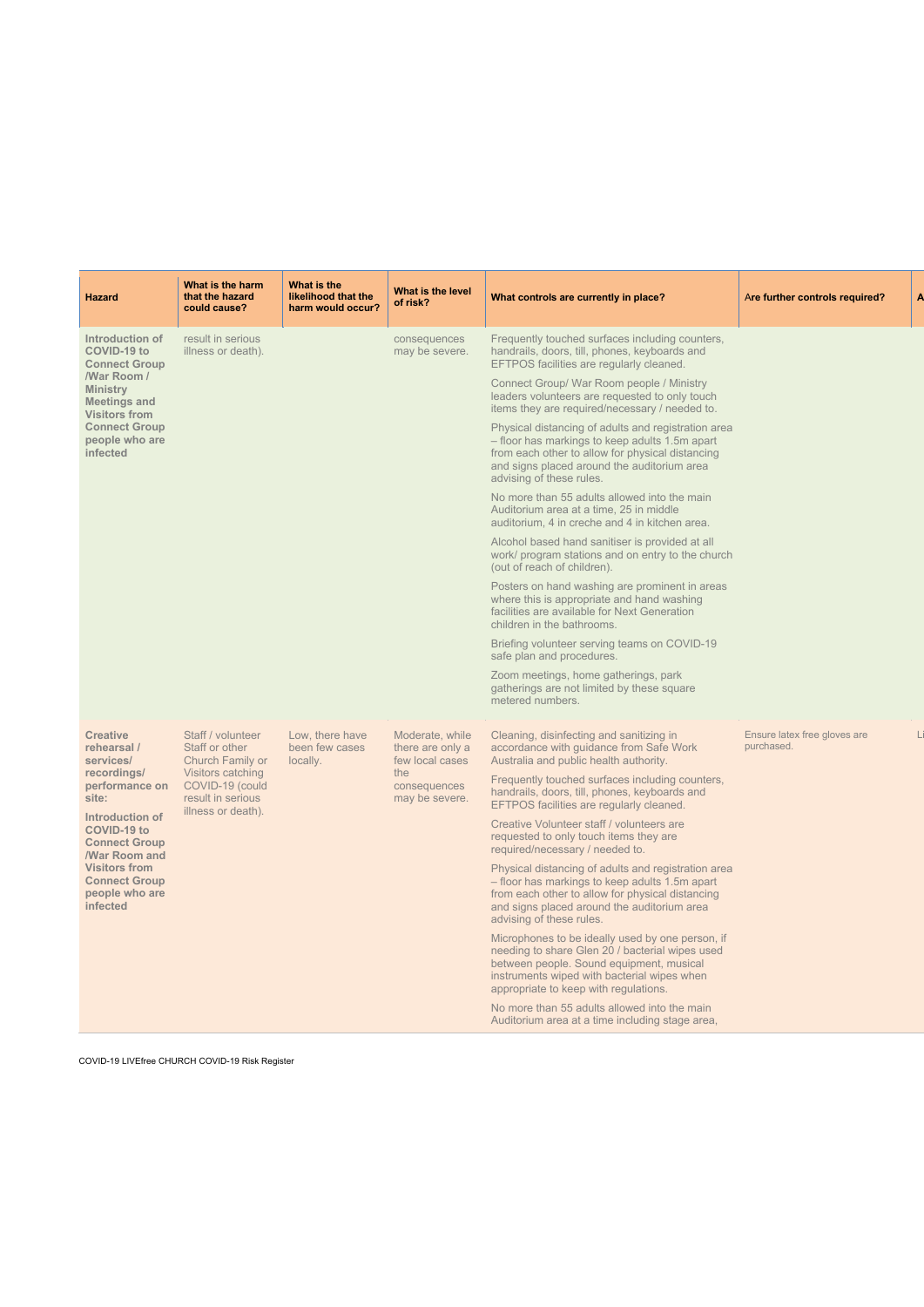| <b>Hazard</b>                                                                                                                                                                                                                                                       | What is the harm<br>that the hazard<br>could cause?                                                                                        | What is the<br>likelihood that the<br>harm would occur? | What is the level<br>of risk?                                                                   | What controls are currently in place?                                                                                                                                                                                                                                                                                                                                                                                                                                                                                                                                                                                                                                                                                                                                                                                                                                                                                                                                                                                                                                                                                                                                                          | Are further controls required?             |
|---------------------------------------------------------------------------------------------------------------------------------------------------------------------------------------------------------------------------------------------------------------------|--------------------------------------------------------------------------------------------------------------------------------------------|---------------------------------------------------------|-------------------------------------------------------------------------------------------------|------------------------------------------------------------------------------------------------------------------------------------------------------------------------------------------------------------------------------------------------------------------------------------------------------------------------------------------------------------------------------------------------------------------------------------------------------------------------------------------------------------------------------------------------------------------------------------------------------------------------------------------------------------------------------------------------------------------------------------------------------------------------------------------------------------------------------------------------------------------------------------------------------------------------------------------------------------------------------------------------------------------------------------------------------------------------------------------------------------------------------------------------------------------------------------------------|--------------------------------------------|
| Introduction of<br><b>COVID-19 to</b><br><b>Connect Group</b><br><b>War Room /</b><br><b>Ministry</b><br><b>Meetings and</b><br><b>Visitors from</b><br><b>Connect Group</b><br>people who are<br>infected                                                          | result in serious<br>illness or death).                                                                                                    |                                                         | consequences<br>may be severe.                                                                  | Frequently touched surfaces including counters,<br>handrails, doors, till, phones, keyboards and<br>EFTPOS facilities are regularly cleaned.<br>Connect Group/ War Room people / Ministry<br>leaders volunteers are requested to only touch<br>items they are required/necessary / needed to.<br>Physical distancing of adults and registration area<br>- floor has markings to keep adults 1.5m apart<br>from each other to allow for physical distancing<br>and signs placed around the auditorium area<br>advising of these rules.<br>No more than 55 adults allowed into the main<br>Auditorium area at a time, 25 in middle<br>auditorium, 4 in creche and 4 in kitchen area.<br>Alcohol based hand sanitiser is provided at all<br>work/ program stations and on entry to the church<br>(out of reach of children).<br>Posters on hand washing are prominent in areas<br>where this is appropriate and hand washing<br>facilities are available for Next Generation<br>children in the bathrooms.<br>Briefing volunteer serving teams on COVID-19<br>safe plan and procedures.<br>Zoom meetings, home gatherings, park<br>gatherings are not limited by these square<br>metered numbers. |                                            |
| <b>Creative</b><br>rehearsal /<br>services/<br>recordings/<br>performance on<br>site:<br><b>Introduction of</b><br><b>COVID-19 to</b><br><b>Connect Group</b><br><b>/War Room and</b><br><b>Visitors from</b><br><b>Connect Group</b><br>people who are<br>infected | Staff / volunteer<br>Staff or other<br>Church Family or<br>Visitors catching<br>COVID-19 (could<br>result in serious<br>illness or death). | Low, there have<br>been few cases<br>locally.           | Moderate, while<br>there are only a<br>few local cases<br>the<br>consequences<br>may be severe. | Cleaning, disinfecting and sanitizing in<br>accordance with guidance from Safe Work<br>Australia and public health authority.<br>Frequently touched surfaces including counters,<br>handrails, doors, till, phones, keyboards and<br>EFTPOS facilities are regularly cleaned.<br>Creative Volunteer staff / volunteers are<br>requested to only touch items they are<br>required/necessary / needed to.<br>Physical distancing of adults and registration area<br>- floor has markings to keep adults 1.5m apart<br>from each other to allow for physical distancing<br>and signs placed around the auditorium area<br>advising of these rules.<br>Microphones to be ideally used by one person, if<br>needing to share Glen 20 / bacterial wipes used<br>between people. Sound equipment, musical                                                                                                                                                                                                                                                                                                                                                                                             | Ensure latex free gloves are<br>purchased. |

instruments wiped with bacterial wipes when

COVID-19 LIVEfree CHURCH COVID-19 Risk Register

appropriate to keep with regulations.

No more than 55 adults allowed into the main Auditorium area at a time including stage area,